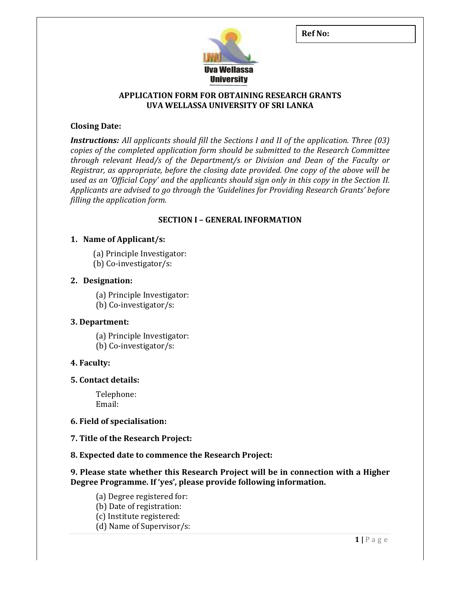Ref No:



## APPLICATION FORM FOR OBTAINING RESEARCH GRANTS UVA WELLASSA UNIVERSITY OF SRI LANKA

## Closing Date:

**Instructions:** All applicants should fill the Sections I and II of the application. Three (03) copies of the completed application form should be submitted to the Research Committee through relevant Head/s of the Department/s or Division and Dean of the Faculty or Registrar, as appropriate, before the closing date provided. One copy of the above will be used as an 'Official Copy' and the applicants should sign only in this copy in the Section II. Applicants are advised to go through the 'Guidelines for Providing Research Grants' before filling the application form.

## SECTION I – GENERAL INFORMATION

## 1. Name of Applicant/s:

- (a) Principle Investigator:
- (b) Co-investigator/s:

## 2. Designation:

(a) Principle Investigator:

(b) Co-investigator/s:

### 3. Department:

(a) Principle Investigator: (b) Co-investigator/s:

# 4. Faculty:

### 5. Contact details:

 Telephone: Email:

### 6. Field of specialisation:

7. Title of the Research Project:

# 8. Expected date to commence the Research Project:

## 9. Please state whether this Research Project will be in connection with a Higher Degree Programme. If 'yes', please provide following information.

 (a) Degree registered for: (b) Date of registration: (c) Institute registered: (d) Name of Supervisor/s: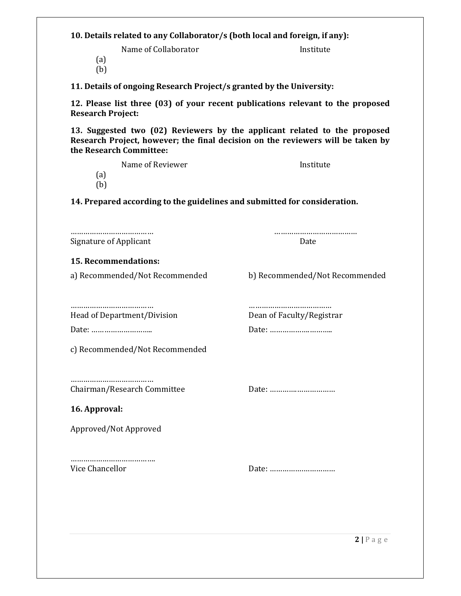10. Details related to any Collaborator/s (both local and foreign, if any): Name of Collaborator **Institute** (a) (b) 11. Details of ongoing Research Project/s granted by the University: 12. Please list three (03) of your recent publications relevant to the proposed Research Project: 13. Suggested two (02) Reviewers by the applicant related to the proposed Research Project, however; the final decision on the reviewers will be taken by the Research Committee: Name of Reviewer **Institute** (a) (b) 14. Prepared according to the guidelines and submitted for consideration. ………………………………… ………………………………… Signature of Applicant Date 15. Recommendations: a) Recommended/Not Recommended b) Recommended/Not Recommended ………………………………… ………………………………… Head of Department/Division Dean of Faculty/Registrar Date: ……………………….. Date: ……………….……….. c) Recommended/Not Recommended ………………………………… Chairman/Research Committee Date: ………….……………… 16. Approval: Approved/Not Approved …………………………………… Vice Chancellor Date: …………….……………